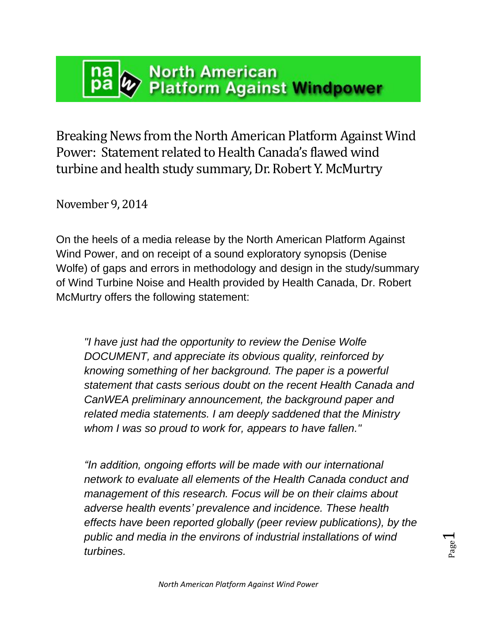# **North American Platform Against Windpower**

Breaking News from the North American Platform Against Wind Power: Statement related to Health Canada's flawed wind turbine and health study summary, Dr. Robert Y. McMurtry

November 9, 2014

On the heels of a media release by the North American Platform Against Wind Power, and on receipt of a sound exploratory synopsis (Denise Wolfe) of gaps and errors in methodology and design in the study/summary of Wind Turbine Noise and Health provided by Health Canada, Dr. Robert McMurtry offers the following statement:

*"I have just had the opportunity to review the Denise Wolfe DOCUMENT, and appreciate its obvious quality, reinforced by knowing something of her background. The paper is a powerful statement that casts serious doubt on the recent Health Canada and CanWEA preliminary announcement, the background paper and related media statements. I am deeply saddened that the Ministry whom I was so proud to work for, appears to have fallen."*

*"In addition, ongoing efforts will be made with our international network to evaluate all elements of the Health Canada conduct and management of this research. Focus will be on their claims about adverse health events' prevalence and incidence. These health effects have been reported globally (peer review publications), by the public and media in the environs of industrial installations of wind turbines.*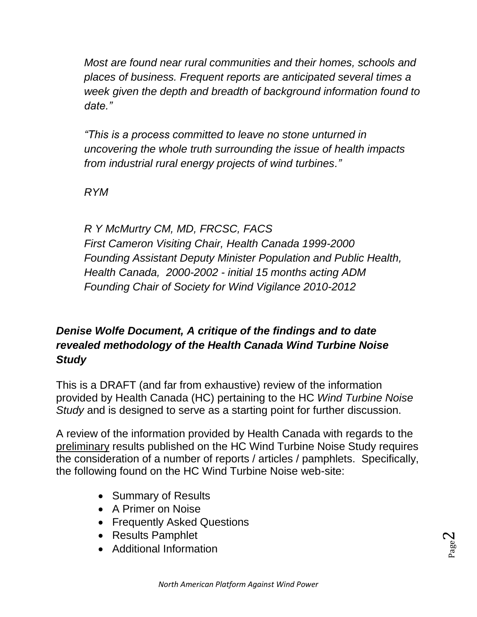*Most are found near rural communities and their homes, schools and places of business. Frequent reports are anticipated several times a week given the depth and breadth of background information found to date."*

*"This is a process committed to leave no stone unturned in uncovering the whole truth surrounding the issue of health impacts from industrial rural energy projects of wind turbines."*

*RYM*

*R Y McMurtry CM, MD, FRCSC, FACS First Cameron Visiting Chair, Health Canada 1999-2000 Founding Assistant Deputy Minister Population and Public Health, Health Canada, 2000-2002 - initial 15 months acting ADM Founding Chair of Society for Wind Vigilance 2010-2012*

## *Denise Wolfe Document, A critique of the findings and to date revealed methodology of the Health Canada Wind Turbine Noise Study*

This is a DRAFT (and far from exhaustive) review of the information provided by Health Canada (HC) pertaining to the HC *Wind Turbine Noise Study* and is designed to serve as a starting point for further discussion.

A review of the information provided by Health Canada with regards to the preliminary results published on the HC Wind Turbine Noise Study requires the consideration of a number of reports / articles / pamphlets. Specifically, the following found on the HC Wind Turbine Noise web-site:

- Summary of Results
- A Primer on Noise
- Frequently Asked Questions
- Results Pamphlet
- Additional Information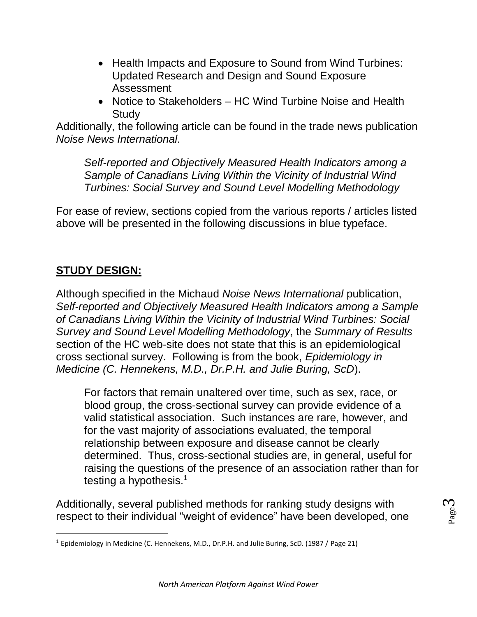- Health Impacts and Exposure to Sound from Wind Turbines: Updated Research and Design and Sound Exposure Assessment
- Notice to Stakeholders HC Wind Turbine Noise and Health Study

Additionally, the following article can be found in the trade news publication *Noise News International*.

*Self-reported and Objectively Measured Health Indicators among a Sample of Canadians Living Within the Vicinity of Industrial Wind Turbines: Social Survey and Sound Level Modelling Methodology*

For ease of review, sections copied from the various reports / articles listed above will be presented in the following discussions in blue typeface.

## **STUDY DESIGN:**

 $\overline{\phantom{a}}$ 

Although specified in the Michaud *Noise News International* publication, *Self-reported and Objectively Measured Health Indicators among a Sample of Canadians Living Within the Vicinity of Industrial Wind Turbines: Social Survey and Sound Level Modelling Methodology*, the *Summary of Results* section of the HC web-site does not state that this is an epidemiological cross sectional survey. Following is from the book, *Epidemiology in Medicine (C. Hennekens, M.D., Dr.P.H. and Julie Buring, ScD*).

For factors that remain unaltered over time, such as sex, race, or blood group, the cross-sectional survey can provide evidence of a valid statistical association. Such instances are rare, however, and for the vast majority of associations evaluated, the temporal relationship between exposure and disease cannot be clearly determined. Thus, cross-sectional studies are, in general, useful for raising the questions of the presence of an association rather than for testing a hypothesis. $1$ 

Additionally, several published methods for ranking study designs with respect to their individual "weight of evidence" have been developed, one

<sup>&</sup>lt;sup>1</sup> Epidemiology in Medicine (C. Hennekens, M.D., Dr.P.H. and Julie Buring, ScD. (1987 / Page 21)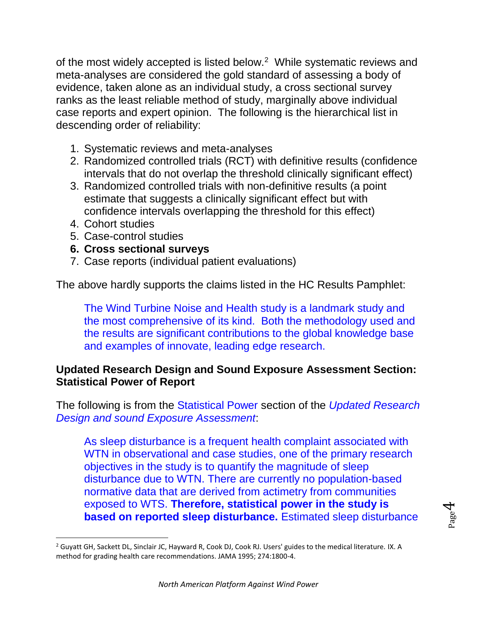of the most widely accepted is listed below. $2$  While systematic reviews and meta-analyses are considered the gold standard of assessing a body of evidence, taken alone as an individual study, a cross sectional survey ranks as the least reliable method of study, marginally above individual case reports and expert opinion. The following is the hierarchical list in descending order of reliability:

- 1. Systematic reviews and meta-analyses
- 2. Randomized controlled trials (RCT) with definitive results (confidence intervals that do not overlap the threshold clinically significant effect)
- 3. Randomized controlled trials with non-definitive results (a point estimate that suggests a clinically significant effect but with confidence intervals overlapping the threshold for this effect)
- 4. Cohort studies

l

- 5. Case-control studies
- **6. Cross sectional surveys**
- 7. Case reports (individual patient evaluations)

The above hardly supports the claims listed in the HC Results Pamphlet:

The Wind Turbine Noise and Health study is a landmark study and the most comprehensive of its kind. Both the methodology used and the results are significant contributions to the global knowledge base and examples of innovate, leading edge research.

#### **Updated Research Design and Sound Exposure Assessment Section: Statistical Power of Report**

The following is from the Statistical Power section of the *Updated Research Design and sound Exposure Assessment*:

As sleep disturbance is a frequent health complaint associated with WTN in observational and case studies, one of the primary research objectives in the study is to quantify the magnitude of sleep disturbance due to WTN. There are currently no population-based normative data that are derived from actimetry from communities exposed to WTS. **Therefore, statistical power in the study is based on reported sleep disturbance.** Estimated sleep disturbance

<sup>&</sup>lt;sup>2</sup> Guyatt GH, Sackett DL, Sinclair JC, Hayward R, Cook DJ, Cook RJ. Users' guides to the medical literature. IX. A method for grading health care recommendations. JAMA 1995; 274:1800-4.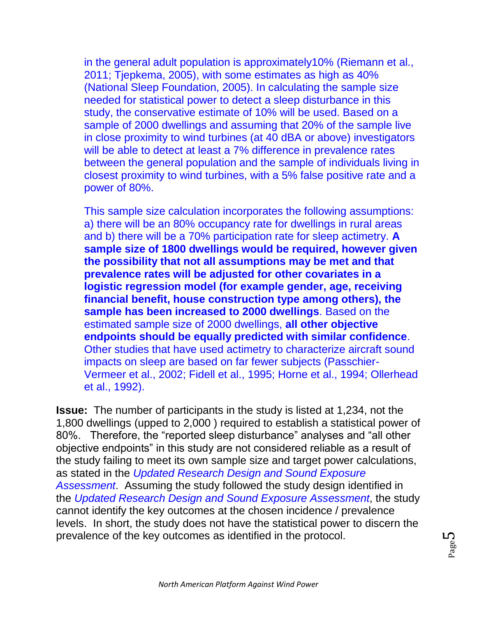in the general adult population is approximately10% (Riemann et al., 2011; Tjepkema, 2005), with some estimates as high as 40% (National Sleep Foundation, 2005). In calculating the sample size needed for statistical power to detect a sleep disturbance in this study, the conservative estimate of 10% will be used. Based on a sample of 2000 dwellings and assuming that 20% of the sample live in close proximity to wind turbines (at 40 dBA or above) investigators will be able to detect at least a 7% difference in prevalence rates between the general population and the sample of individuals living in closest proximity to wind turbines, with a 5% false positive rate and a power of 80%.

This sample size calculation incorporates the following assumptions: a) there will be an 80% occupancy rate for dwellings in rural areas and b) there will be a 70% participation rate for sleep actimetry. **A sample size of 1800 dwellings would be required, however given the possibility that not all assumptions may be met and that prevalence rates will be adjusted for other covariates in a logistic regression model (for example gender, age, receiving financial benefit, house construction type among others), the sample has been increased to 2000 dwellings**. Based on the estimated sample size of 2000 dwellings, **all other objective endpoints should be equally predicted with similar confidence**. Other studies that have used actimetry to characterize aircraft sound impacts on sleep are based on far fewer subjects (Passchier-Vermeer et al., 2002; Fidell et al., 1995; Horne et al., 1994; Ollerhead et al., 1992).

**Issue:** The number of participants in the study is listed at 1,234, not the 1,800 dwellings (upped to 2,000 ) required to establish a statistical power of 80%. Therefore, the "reported sleep disturbance" analyses and "all other objective endpoints" in this study are not considered reliable as a result of the study failing to meet its own sample size and target power calculations, as stated in the *Updated Research Design and Sound Exposure Assessment*. Assuming the study followed the study design identified in the *Updated Research Design and Sound Exposure Assessment*, the study cannot identify the key outcomes at the chosen incidence / prevalence levels. In short, the study does not have the statistical power to discern the prevalence of the key outcomes as identified in the protocol.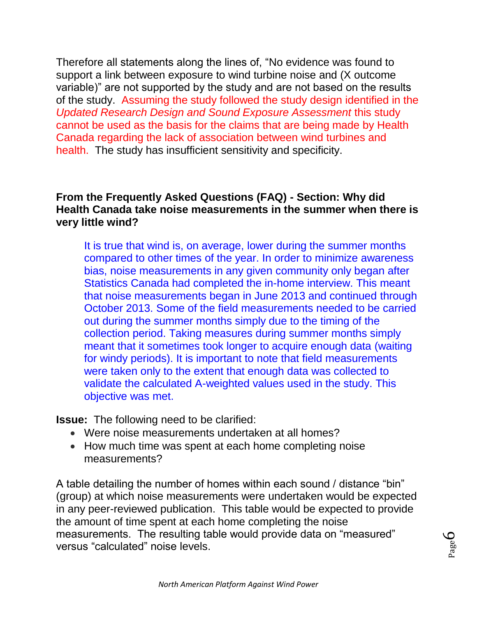Therefore all statements along the lines of, "No evidence was found to support a link between exposure to wind turbine noise and (X outcome variable)" are not supported by the study and are not based on the results of the study. Assuming the study followed the study design identified in the *Updated Research Design and Sound Exposure Assessment* this study cannot be used as the basis for the claims that are being made by Health Canada regarding the lack of association between wind turbines and health. The study has insufficient sensitivity and specificity.

#### **From the Frequently Asked Questions (FAQ) - Section: Why did Health Canada take noise measurements in the summer when there is very little wind?**

It is true that wind is, on average, lower during the summer months compared to other times of the year. In order to minimize awareness bias, noise measurements in any given community only began after Statistics Canada had completed the in-home interview. This meant that noise measurements began in June 2013 and continued through October 2013. Some of the field measurements needed to be carried out during the summer months simply due to the timing of the collection period. Taking measures during summer months simply meant that it sometimes took longer to acquire enough data (waiting for windy periods). It is important to note that field measurements were taken only to the extent that enough data was collected to validate the calculated A-weighted values used in the study. This objective was met.

**Issue:** The following need to be clarified:

- Were noise measurements undertaken at all homes?
- How much time was spent at each home completing noise measurements?

A table detailing the number of homes within each sound / distance "bin" (group) at which noise measurements were undertaken would be expected in any peer-reviewed publication. This table would be expected to provide the amount of time spent at each home completing the noise measurements. The resulting table would provide data on "measured" versus "calculated" noise levels.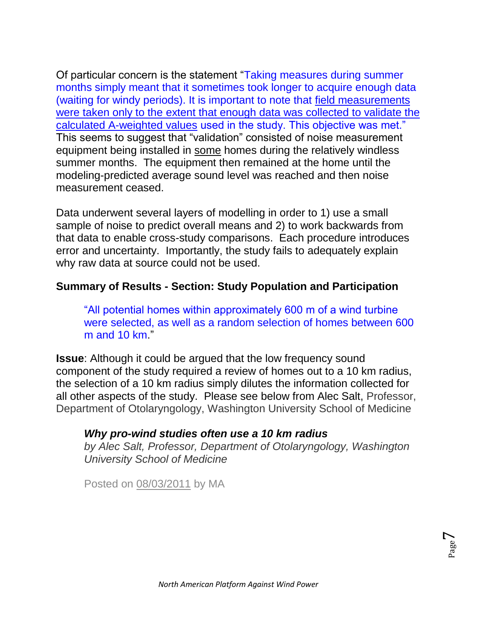Of particular concern is the statement "Taking measures during summer months simply meant that it sometimes took longer to acquire enough data (waiting for windy periods). It is important to note that field measurements were taken only to the extent that enough data was collected to validate the calculated A-weighted values used in the study. This objective was met." This seems to suggest that "validation" consisted of noise measurement equipment being installed in some homes during the relatively windless summer months. The equipment then remained at the home until the modeling-predicted average sound level was reached and then noise measurement ceased.

Data underwent several layers of modelling in order to 1) use a small sample of noise to predict overall means and 2) to work backwards from that data to enable cross-study comparisons. Each procedure introduces error and uncertainty. Importantly, the study fails to adequately explain why raw data at source could not be used.

#### **Summary of Results - Section: Study Population and Participation**

"All potential homes within approximately 600 m of a wind turbine were selected, as well as a random selection of homes between 600 m and 10 km."

**Issue**: Although it could be argued that the low frequency sound component of the study required a review of homes out to a 10 km radius, the selection of a 10 km radius simply dilutes the information collected for all other aspects of the study. Please see below from Alec Salt, Professor, Department of Otolaryngology, Washington University School of Medicine

#### *Why pro-wind studies often use a 10 km radius*

*by Alec Salt, Professor, Department of Otolaryngology, Washington University School of Medicine*

Posted on [08/03/2011](http://windconcernsontario.wordpress.com/2011/08/03/why-pro-wind-studies-often-use-a-10-km-radius/) by [MA](http://windconcernsontario.wordpress.com/author/essexcountywind/)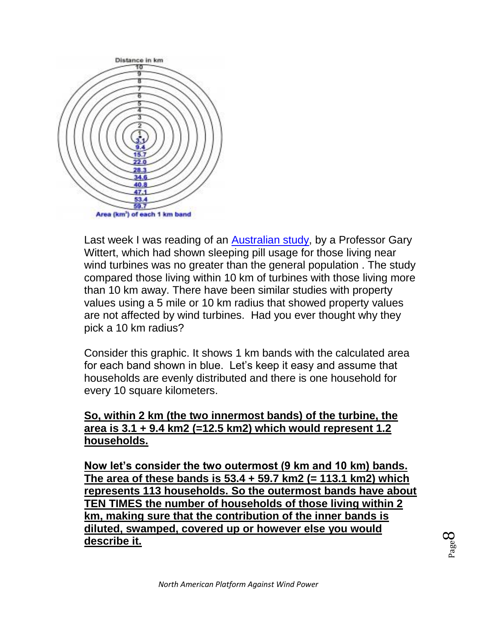

Last week I was reading of an [Australian study,](http://www.abc.net.au/news/2011-07-25/research-challenges-wind-farm-illness-link/2808824?section=justin) by a Professor Gary Wittert, which had shown sleeping pill usage for those living near wind turbines was no greater than the general population . The study compared those living within 10 km of turbines with those living more than 10 km away. There have been similar studies with property values using a 5 mile or 10 km radius that showed property values are not affected by wind turbines. Had you ever thought why they pick a 10 km radius?

Consider this graphic. It shows 1 km bands with the calculated area for each band shown in blue. Let's keep it easy and assume that households are evenly distributed and there is one household for every 10 square kilometers.

#### **So, within 2 km (the two innermost bands) of the turbine, the area is 3.1 + 9.4 km2 (=12.5 km2) which would represent 1.2 households.**

**Now let's consider the two outermost (9 km and 10 km) bands. The area of these bands is 53.4 + 59.7 km2 (= 113.1 km2) which represents 113 households. So the outermost bands have about TEN TIMES the number of households of those living within 2 km, making sure that the contribution of the inner bands is diluted, swamped, covered up or however else you would describe it.**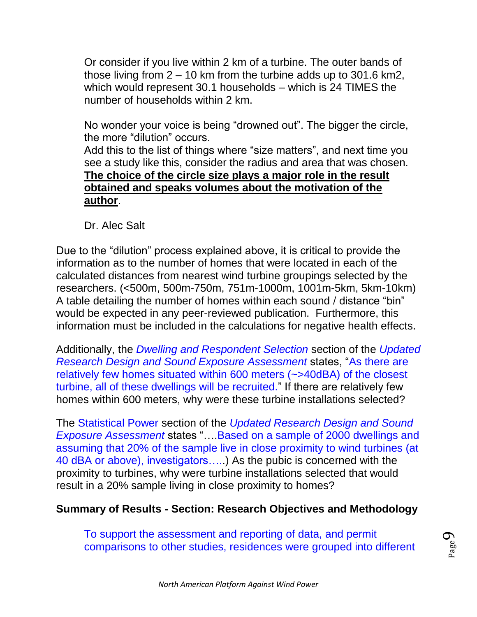Or consider if you live within 2 km of a turbine. The outer bands of those living from 2 – 10 km from the turbine adds up to 301.6 km2, which would represent 30.1 households – which is 24 TIMES the number of households within 2 km.

No wonder your voice is being "drowned out". The bigger the circle, the more "dilution" occurs.

Add this to the list of things where "size matters", and next time you see a study like this, consider the radius and area that was chosen. **The choice of the circle size plays a major role in the result obtained and speaks volumes about the motivation of the author**.

Dr. Alec Salt

Due to the "dilution" process explained above, it is critical to provide the information as to the number of homes that were located in each of the calculated distances from nearest wind turbine groupings selected by the researchers. (<500m, 500m-750m, 751m-1000m, 1001m-5km, 5km-10km) A table detailing the number of homes within each sound / distance "bin" would be expected in any peer-reviewed publication. Furthermore, this information must be included in the calculations for negative health effects.

Additionally, the *Dwelling and Respondent Selection* section of the *Updated Research Design and Sound Exposure Assessment* states, "As there are relatively few homes situated within 600 meters (~>40dBA) of the closest turbine, all of these dwellings will be recruited." If there are relatively few homes within 600 meters, why were these turbine installations selected?

The Statistical Power section of the *Updated Research Design and Sound Exposure Assessment* states "….Based on a sample of 2000 dwellings and assuming that 20% of the sample live in close proximity to wind turbines (at 40 dBA or above), investigators…..) As the pubic is concerned with the proximity to turbines, why were turbine installations selected that would result in a 20% sample living in close proximity to homes?

## **Summary of Results - Section: Research Objectives and Methodology**

To support the assessment and reporting of data, and permit comparisons to other studies, residences were grouped into different

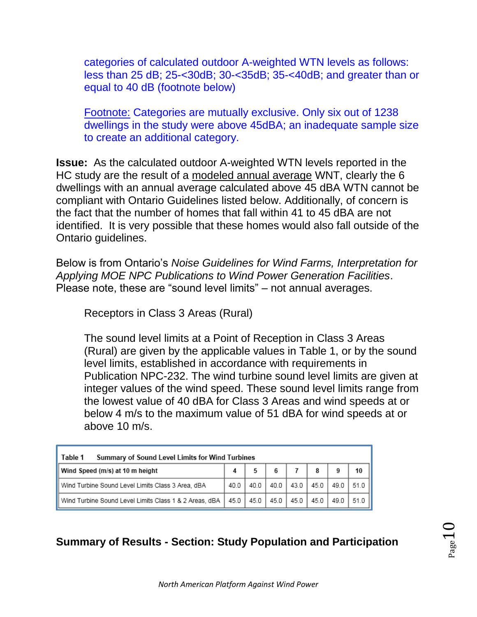categories of calculated outdoor A-weighted WTN levels as follows: less than 25 dB; 25-<30dB; 30-<35dB; 35-<40dB; and greater than or equal to 40 dB (footnote below)

Footnote: Categories are mutually exclusive. Only six out of 1238 dwellings in the study were above 45dBA; an inadequate sample size to create an additional category.

**Issue:** As the calculated outdoor A-weighted WTN levels reported in the HC study are the result of a modeled annual average WNT, clearly the 6 dwellings with an annual average calculated above 45 dBA WTN cannot be compliant with Ontario Guidelines listed below. Additionally, of concern is the fact that the number of homes that fall within 41 to 45 dBA are not identified. It is very possible that these homes would also fall outside of the Ontario guidelines.

Below is from Ontario's *Noise Guidelines for Wind Farms, Interpretation for Applying MOE NPC Publications to Wind Power Generation Facilities*. Please note, these are "sound level limits" – not annual averages.

Receptors in Class 3 Areas (Rural)

The sound level limits at a Point of Reception in Class 3 Areas (Rural) are given by the applicable values in Table 1, or by the sound level limits, established in accordance with requirements in Publication NPC-232. The wind turbine sound level limits are given at integer values of the wind speed. These sound level limits range from the lowest value of 40 dBA for Class 3 Areas and wind speeds at or below 4 m/s to the maximum value of 51 dBA for wind speeds at or above 10 m/s.

| Table 1<br>Summary of Sound Level Limits for Wind Turbines |      |      |        |        |      |           |      |  |  |  |  |
|------------------------------------------------------------|------|------|--------|--------|------|-----------|------|--|--|--|--|
| Wind Speed (m/s) at 10 m height                            |      |      | 6      |        | 8    | 9         | 10   |  |  |  |  |
| Wind Turbine Sound Level Limits Class 3 Area, dBA          | 40.0 | 40.0 | 40.0   | 43.0   | 45.0 | 49.0 51.0 |      |  |  |  |  |
| Wind Turbine Sound Level Limits Class 1 & 2 Areas, dBA     | 45.0 | 45.0 | $45.0$ | $45.0$ | 45.0 | 49.0      | 51.0 |  |  |  |  |

## **Summary of Results - Section: Study Population and Participation**

 $_{\rm Page}10$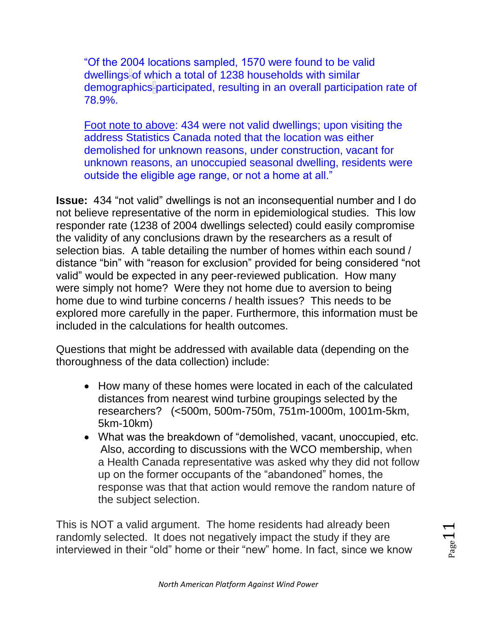"Of the 2004 locations sampled, 1570 were found to be valid dwellings of which a total of 1238 households with similar demographics participated, resulting in an overall participation rate of 78.9%.

Foot note to above: 434 were not valid dwellings; upon visiting the address Statistics Canada noted that the location was either demolished for unknown reasons, under construction, vacant for unknown reasons, an unoccupied seasonal dwelling, residents were outside the eligible age range, or not a home at all."

**Issue:** 434 "not valid" dwellings is not an inconsequential number and I do not believe representative of the norm in epidemiological studies. This low responder rate (1238 of 2004 dwellings selected) could easily compromise the validity of any conclusions drawn by the researchers as a result of selection bias. A table detailing the number of homes within each sound / distance "bin" with "reason for exclusion" provided for being considered "not valid" would be expected in any peer-reviewed publication. How many were simply not home? Were they not home due to aversion to being home due to wind turbine concerns / health issues? This needs to be explored more carefully in the paper. Furthermore, this information must be included in the calculations for health outcomes.

Questions that might be addressed with available data (depending on the thoroughness of the data collection) include:

- How many of these homes were located in each of the calculated distances from nearest wind turbine groupings selected by the researchers? (<500m, 500m-750m, 751m-1000m, 1001m-5km, 5km-10km)
- What was the breakdown of "demolished, vacant, unoccupied, etc. Also, according to discussions with the WCO membership, when a Health Canada representative was asked why they did not follow up on the former occupants of the "abandoned" homes, the response was that that action would remove the random nature of the subject selection.

This is NOT a valid argument. The home residents had already been randomly selected. It does not negatively impact the study if they are interviewed in their "old" home or their "new" home. In fact, since we know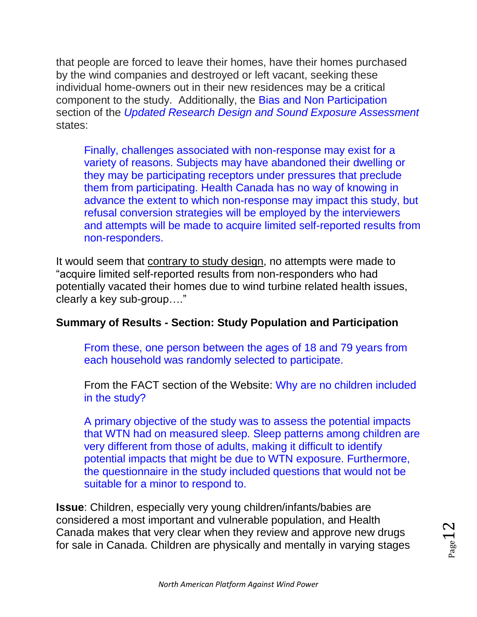that people are forced to leave their homes, have their homes purchased by the wind companies and destroyed or left vacant, seeking these individual home-owners out in their new residences may be a critical component to the study. Additionally, the Bias and Non Participation section of the *Updated Research Design and Sound Exposure Assessment* states:

Finally, challenges associated with non-response may exist for a variety of reasons. Subjects may have abandoned their dwelling or they may be participating receptors under pressures that preclude them from participating. Health Canada has no way of knowing in advance the extent to which non-response may impact this study, but refusal conversion strategies will be employed by the interviewers and attempts will be made to acquire limited self-reported results from non-responders.

It would seem that contrary to study design, no attempts were made to "acquire limited self-reported results from non-responders who had potentially vacated their homes due to wind turbine related health issues, clearly a key sub-group…."

#### **Summary of Results - Section: Study Population and Participation**

From these, one person between the ages of 18 and 79 years from each household was randomly selected to participate.

From the FACT section of the Website: Why are no children included in the study?

A primary objective of the study was to assess the potential impacts that WTN had on measured sleep. Sleep patterns among children are very different from those of adults, making it difficult to identify potential impacts that might be due to WTN exposure. Furthermore, the questionnaire in the study included questions that would not be suitable for a minor to respond to.

**Issue**: Children, especially very young children/infants/babies are considered a most important and vulnerable population, and Health Canada makes that very clear when they review and approve new drugs for sale in Canada. Children are physically and mentally in varying stages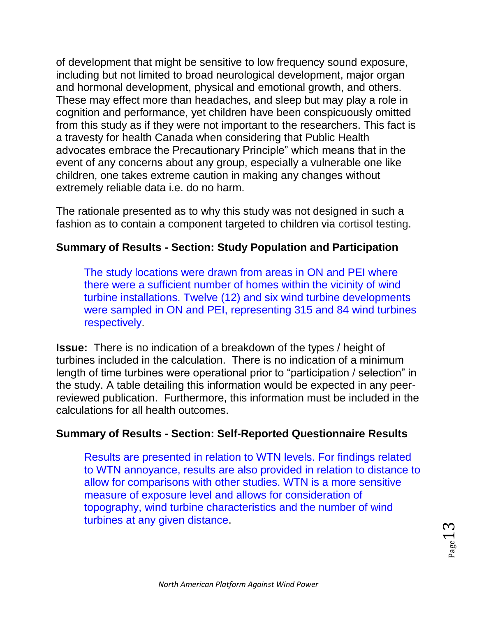of development that might be sensitive to low frequency sound exposure, including but not limited to broad neurological development, major organ and hormonal development, physical and emotional growth, and others. These may effect more than headaches, and sleep but may play a role in cognition and performance, yet children have been conspicuously omitted from this study as if they were not important to the researchers. This fact is a travesty for health Canada when considering that Public Health advocates embrace the Precautionary Principle" which means that in the event of any concerns about any group, especially a vulnerable one like children, one takes extreme caution in making any changes without extremely reliable data i.e. do no harm.

The rationale presented as to why this study was not designed in such a fashion as to contain a component targeted to children via cortisol testing.

#### **Summary of Results - Section: Study Population and Participation**

The study locations were drawn from areas in ON and PEI where there were a sufficient number of homes within the vicinity of wind turbine installations. Twelve (12) and six wind turbine developments were sampled in ON and PEI, representing 315 and 84 wind turbines respectively.

**Issue:** There is no indication of a breakdown of the types / height of turbines included in the calculation. There is no indication of a minimum length of time turbines were operational prior to "participation / selection" in the study. A table detailing this information would be expected in any peerreviewed publication. Furthermore, this information must be included in the calculations for all health outcomes.

## **Summary of Results - Section: Self-Reported Questionnaire Results**

Results are presented in relation to WTN levels. For findings related to WTN annoyance, results are also provided in relation to distance to allow for comparisons with other studies. WTN is a more sensitive measure of exposure level and allows for consideration of topography, wind turbine characteristics and the number of wind turbines at any given distance.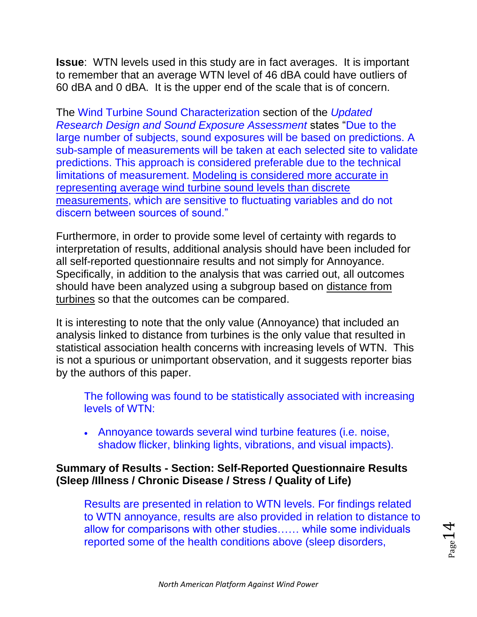**Issue**: WTN levels used in this study are in fact averages. It is important to remember that an average WTN level of 46 dBA could have outliers of 60 dBA and 0 dBA. It is the upper end of the scale that is of concern.

The Wind Turbine Sound Characterization section of the *Updated Research Design and Sound Exposure Assessment* states "Due to the large number of subjects, sound exposures will be based on predictions. A sub-sample of measurements will be taken at each selected site to validate predictions. This approach is considered preferable due to the technical limitations of measurement. Modeling is considered more accurate in representing average wind turbine sound levels than discrete measurements, which are sensitive to fluctuating variables and do not discern between sources of sound."

Furthermore, in order to provide some level of certainty with regards to interpretation of results, additional analysis should have been included for all self-reported questionnaire results and not simply for Annoyance. Specifically, in addition to the analysis that was carried out, all outcomes should have been analyzed using a subgroup based on distance from turbines so that the outcomes can be compared.

It is interesting to note that the only value (Annoyance) that included an analysis linked to distance from turbines is the only value that resulted in statistical association health concerns with increasing levels of WTN. This is not a spurious or unimportant observation, and it suggests reporter bias by the authors of this paper.

The following was found to be statistically associated with increasing levels of WTN:

 Annoyance towards several wind turbine features (i.e. noise, shadow flicker, blinking lights, vibrations, and visual impacts).

#### **Summary of Results - Section: Self-Reported Questionnaire Results (Sleep /Illness / Chronic Disease / Stress / Quality of Life)**

Results are presented in relation to WTN levels. For findings related to WTN annoyance, results are also provided in relation to distance to allow for comparisons with other studies…… while some individuals reported some of the health conditions above (sleep disorders,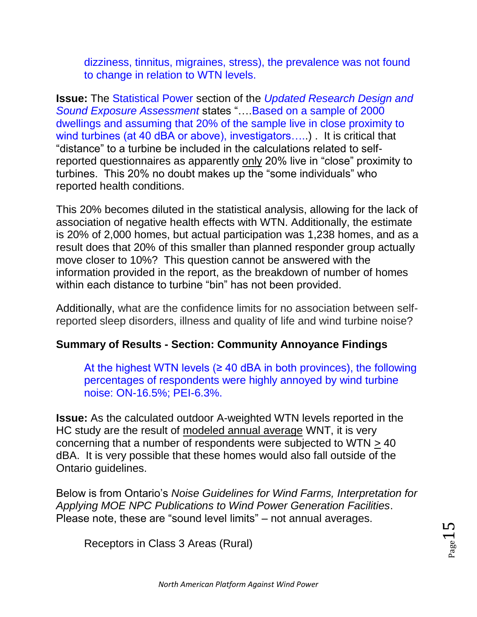dizziness, tinnitus, migraines, stress), the prevalence was not found to change in relation to WTN levels.

**Issue:** The Statistical Power section of the *Updated Research Design and Sound Exposure Assessment* states "….Based on a sample of 2000 dwellings and assuming that 20% of the sample live in close proximity to wind turbines (at 40 dBA or above), investigators.....). It is critical that "distance" to a turbine be included in the calculations related to selfreported questionnaires as apparently only 20% live in "close" proximity to turbines. This 20% no doubt makes up the "some individuals" who reported health conditions.

This 20% becomes diluted in the statistical analysis, allowing for the lack of association of negative health effects with WTN. Additionally, the estimate is 20% of 2,000 homes, but actual participation was 1,238 homes, and as a result does that 20% of this smaller than planned responder group actually move closer to 10%? This question cannot be answered with the information provided in the report, as the breakdown of number of homes within each distance to turbine "bin" has not been provided.

Additionally, what are the confidence limits for no association between selfreported sleep disorders, illness and quality of life and wind turbine noise?

## **Summary of Results - Section: Community Annoyance Findings**

At the highest WTN levels  $(≥ 40$  dBA in both provinces), the following percentages of respondents were highly annoyed by wind turbine noise: ON-16.5%; PEI-6.3%.

**Issue:** As the calculated outdoor A-weighted WTN levels reported in the HC study are the result of modeled annual average WNT, it is very concerning that a number of respondents were subjected to WTN > 40 dBA. It is very possible that these homes would also fall outside of the Ontario guidelines.

Below is from Ontario's *Noise Guidelines for Wind Farms, Interpretation for Applying MOE NPC Publications to Wind Power Generation Facilities*. Please note, these are "sound level limits" – not annual averages.

Receptors in Class 3 Areas (Rural)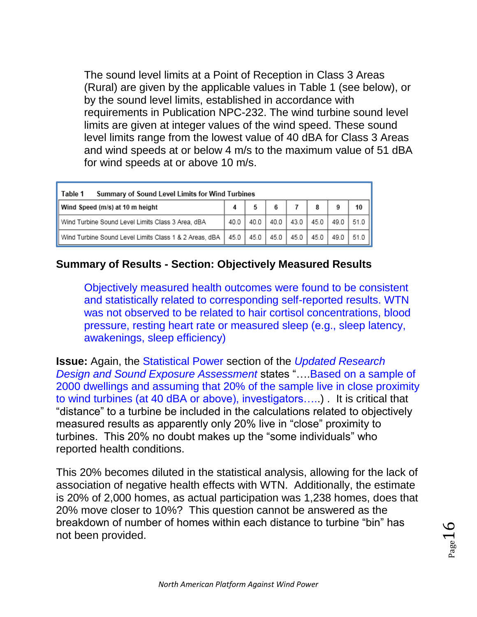The sound level limits at a Point of Reception in Class 3 Areas (Rural) are given by the applicable values in Table 1 (see below), or by the sound level limits, established in accordance with requirements in Publication NPC-232. The wind turbine sound level limits are given at integer values of the wind speed. These sound level limits range from the lowest value of 40 dBA for Class 3 Areas and wind speeds at or below 4 m/s to the maximum value of 51 dBA for wind speeds at or above 10 m/s.

| Table 1<br>Summary of Sound Level Limits for Wind Turbines |      |      |      |      |      |      |           |  |  |  |  |
|------------------------------------------------------------|------|------|------|------|------|------|-----------|--|--|--|--|
| Wind Speed (m/s) at 10 m height                            |      |      |      |      | 8    |      | 10        |  |  |  |  |
| Wind Turbine Sound Level Limits Class 3 Area, dBA          | 40.0 | 40.0 | 40.0 | 43.0 | 45.0 | 49.0 | $51.0$ II |  |  |  |  |
| Wind Turbine Sound Level Limits Class 1 & 2 Areas, dBA     | 45.0 | 45.0 | 45.0 | 45.0 | 45.0 | 49.0 | $51.0$ II |  |  |  |  |

#### **Summary of Results - Section: Objectively Measured Results**

Objectively measured health outcomes were found to be consistent and statistically related to corresponding self-reported results. WTN was not observed to be related to hair cortisol concentrations, blood pressure, resting heart rate or measured sleep (e.g., sleep latency, awakenings, sleep efficiency)

**Issue:** Again, the Statistical Power section of the *Updated Research Design and Sound Exposure Assessment* states "….Based on a sample of 2000 dwellings and assuming that 20% of the sample live in close proximity to wind turbines (at 40 dBA or above), investigators…..) . It is critical that "distance" to a turbine be included in the calculations related to objectively measured results as apparently only 20% live in "close" proximity to turbines. This 20% no doubt makes up the "some individuals" who reported health conditions.

This 20% becomes diluted in the statistical analysis, allowing for the lack of association of negative health effects with WTN. Additionally, the estimate is 20% of 2,000 homes, as actual participation was 1,238 homes, does that 20% move closer to 10%? This question cannot be answered as the breakdown of number of homes within each distance to turbine "bin" has not been provided.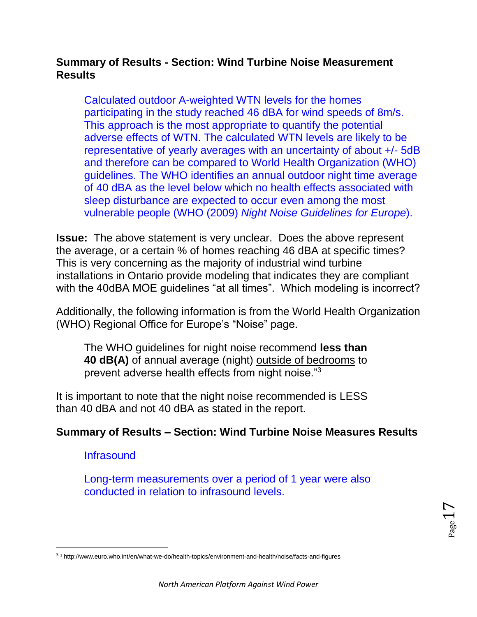#### **Summary of Results - Section: Wind Turbine Noise Measurement Results**

Calculated outdoor A-weighted WTN levels for the homes participating in the study reached 46 dBA for wind speeds of 8m/s. This approach is the most appropriate to quantify the potential adverse effects of WTN. The calculated WTN levels are likely to be representative of yearly averages with an uncertainty of about +/- 5dB and therefore can be compared to World Health Organization (WHO) guidelines. The WHO identifies an annual outdoor night time average of 40 dBA as the level below which no health effects associated with sleep disturbance are expected to occur even among the most vulnerable people (WHO (2009) *Night Noise Guidelines for Europe*).

**Issue:** The above statement is very unclear. Does the above represent the average, or a certain % of homes reaching 46 dBA at specific times? This is very concerning as the majority of industrial wind turbine installations in Ontario provide modeling that indicates they are compliant with the 40dBA MOE guidelines "at all times". Which modeling is incorrect?

Additionally, the following information is from the World Health Organization (WHO) Regional Office for Europe's "Noise" page.

The WHO guidelines for night noise recommend **less than 40 dB(A)** of annual average (night) outside of bedrooms to prevent adverse health effects from night noise."<sup>3</sup>

It is important to note that the night noise recommended is LESS than 40 dBA and not 40 dBA as stated in the report.

#### **Summary of Results – Section: Wind Turbine Noise Measures Results**

**Infrasound** 

 $\overline{\phantom{a}}$ 

Long-term measurements over a period of 1 year were also conducted in relation to infrasound levels.

<sup>3</sup> <sup>3</sup> http://www.euro.who.int/en/what-we-do/health-topics/environment-and-health/noise/facts-and-figures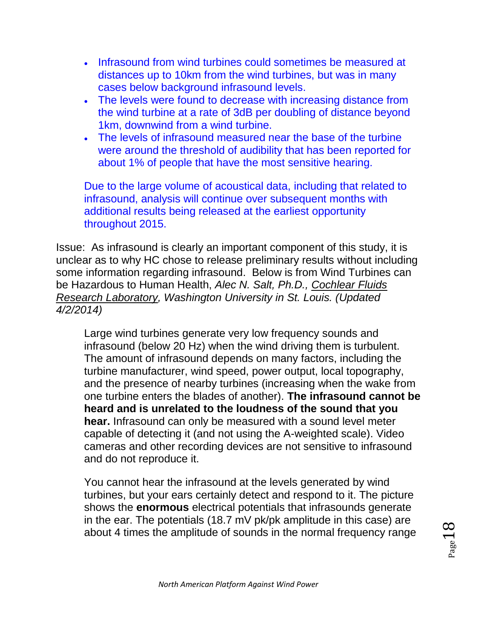- Infrasound from wind turbines could sometimes be measured at distances up to 10km from the wind turbines, but was in many cases below background infrasound levels.
- The levels were found to decrease with increasing distance from the wind turbine at a rate of 3dB per doubling of distance beyond 1km, downwind from a wind turbine.
- The levels of infrasound measured near the base of the turbine were around the threshold of audibility that has been reported for about 1% of people that have the most sensitive hearing.

Due to the large volume of acoustical data, including that related to infrasound, analysis will continue over subsequent months with additional results being released at the earliest opportunity throughout 2015.

Issue: As infrasound is clearly an important component of this study, it is unclear as to why HC chose to release preliminary results without including some information regarding infrasound. Below is from Wind Turbines can be Hazardous to Human Health, *Alec N. Salt, Ph.D., [Cochlear Fluids](http://oto.wustl.edu/cochlea/)  [Research Laboratory,](http://oto.wustl.edu/cochlea/) Washington University in St. Louis. (Updated 4/2/2014)*

Large wind turbines generate very low frequency sounds and infrasound (below 20 Hz) when the wind driving them is turbulent. The amount of infrasound depends on many factors, including the turbine manufacturer, wind speed, power output, local topography, and the presence of nearby turbines (increasing when the wake from one turbine enters the blades of another). **The infrasound cannot be heard and is unrelated to the loudness of the sound that you hear.** Infrasound can only be measured with a sound level meter capable of detecting it (and not using the A-weighted scale). Video cameras and other recording devices are not sensitive to infrasound and do not reproduce it.

You cannot hear the infrasound at the levels generated by wind turbines, but your ears certainly detect and respond to it. The picture shows the **enormous** electrical potentials that infrasounds generate in the ear. The potentials (18.7 mV pk/pk amplitude in this case) are about 4 times the amplitude of sounds in the normal frequency range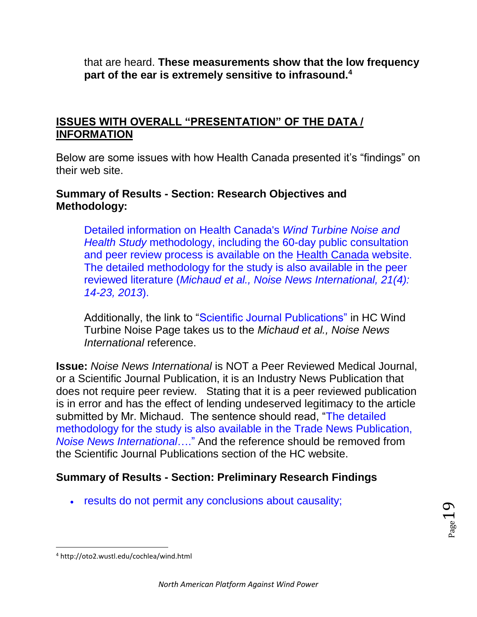that are heard. **These measurements show that the low frequency part of the ear is extremely sensitive to infrasound.<sup>4</sup>**

#### **ISSUES WITH OVERALL "PRESENTATION" OF THE DATA / INFORMATION**

Below are some issues with how Health Canada presented it's "findings" on their web site.

#### **Summary of Results - Section: Research Objectives and Methodology:**

Detailed information on Health Canada's *Wind Turbine Noise and Health Study* methodology, including the 60-day public consultation and peer review process is available on the [Health Canada](http://www.hc-sc.gc.ca/index-eng.php) website. The detailed methodology for the study is also available in the peer reviewed literature (*Michaud et al., Noise News International, 21(4): 14-23, 2013*).

Additionally, the link to "Scientific Journal Publications" in HC Wind Turbine Noise Page takes us to the *Michaud et al., Noise News International* reference.

**Issue:** *Noise News International* is NOT a Peer Reviewed Medical Journal, or a Scientific Journal Publication, it is an Industry News Publication that does not require peer review. Stating that it is a peer reviewed publication is in error and has the effect of lending undeserved legitimacy to the article submitted by Mr. Michaud. The sentence should read, "The detailed methodology for the study is also available in the Trade News Publication, *Noise News International*…." And the reference should be removed from the Scientific Journal Publications section of the HC website.

#### **Summary of Results - Section: Preliminary Research Findings**

results do not permit any conclusions about causality;

 $\overline{\phantom{a}}$ 

<sup>4</sup> http://oto2.wustl.edu/cochlea/wind.html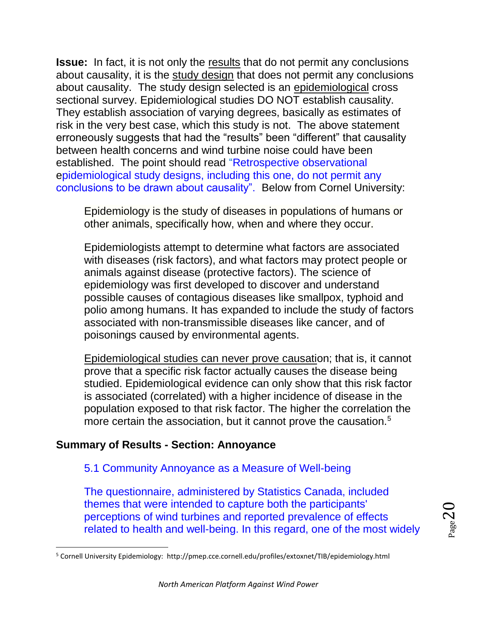**Issue:** In fact, it is not only the results that do not permit any conclusions about causality, it is the study design that does not permit any conclusions about causality. The study design selected is an epidemiological cross sectional survey. Epidemiological studies DO NOT establish causality. They establish association of varying degrees, basically as estimates of risk in the very best case, which this study is not. The above statement erroneously suggests that had the "results" been "different" that causality between health concerns and wind turbine noise could have been established. The point should read "Retrospective observational epidemiological study designs, including this one, do not permit any conclusions to be drawn about causality". Below from Cornel University:

Epidemiology is the study of diseases in populations of humans or other animals, specifically how, when and where they occur.

Epidemiologists attempt to determine what factors are associated with diseases (risk factors), and what factors may protect people or animals against disease (protective factors). The science of epidemiology was first developed to discover and understand possible causes of contagious diseases like smallpox, typhoid and polio among humans. It has expanded to include the study of factors associated with non-transmissible diseases like cancer, and of poisonings caused by environmental agents.

Epidemiological studies can never prove causation; that is, it cannot prove that a specific risk factor actually causes the disease being studied. Epidemiological evidence can only show that this risk factor is associated (correlated) with a higher incidence of disease in the population exposed to that risk factor. The higher the correlation the more certain the association, but it cannot prove the causation.<sup>5</sup>

#### **Summary of Results - Section: Annoyance**

 $\overline{\phantom{a}}$ 

#### 5.1 Community Annoyance as a Measure of Well-being

The questionnaire, administered by Statistics Canada, included themes that were intended to capture both the participants' perceptions of wind turbines and reported prevalence of effects related to health and well-being. In this regard, one of the most widely

<sup>5</sup> Cornell University Epidemiology: http://pmep.cce.cornell.edu/profiles/extoxnet/TIB/epidemiology.html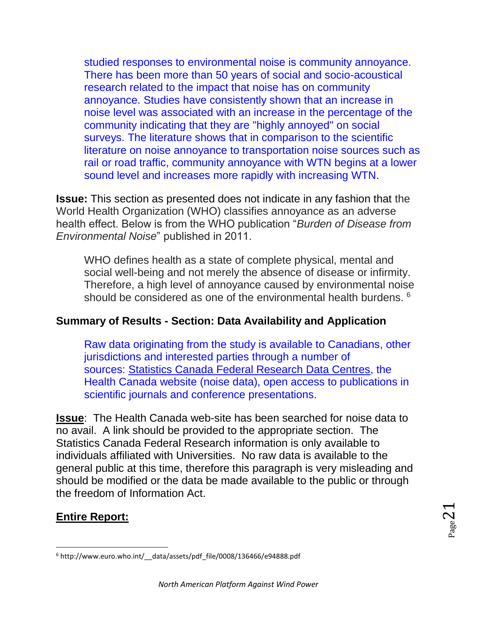studied responses to environmental noise is community annoyance. There has been more than 50 years of social and socio-acoustical research related to the impact that noise has on community annoyance. Studies have consistently shown that an increase in noise level was associated with an increase in the percentage of the community indicating that they are "highly annoyed" on social surveys. The literature shows that in comparison to the scientific literature on noise annoyance to transportation noise sources such as rail or road traffic, community annoyance with WTN begins at a lower sound level and increases more rapidly with increasing WTN.

**Issue:** This section as presented does not indicate in any fashion that the World Health Organization (WHO) classifies annoyance as an adverse health effect. Below is from the WHO publication "*Burden of Disease from Environmental Noise*" published in 2011.

WHO defines health as a state of complete physical, mental and social well-being and not merely the absence of disease or infirmity. Therefore, a high level of annoyance caused by environmental noise should be considered as one of the environmental health burdens.  $6$ 

#### **Summary of Results - Section: Data Availability and Application**

Raw data originating from the study is available to Canadians, other jurisdictions and interested parties through a number of sources: [Statistics Canada Federal Research Data Centres,](http://www.statcan.gc.ca/rdc-cdr/index-eng.htm) the Health Canada website (noise data), open access to publications in scientific journals and conference presentations.

**Issue**: The Health Canada web-site has been searched for noise data to no avail. A link should be provided to the appropriate section. The Statistics Canada Federal Research information is only available to individuals affiliated with Universities. No raw data is available to the general public at this time, therefore this paragraph is very misleading and should be modified or the data be made available to the public or through the freedom of Information Act.

#### **Entire Report:**

 $\overline{\phantom{a}}$ 

 $_{\rm Page}$ 21

<sup>&</sup>lt;sup>6</sup> http://www.euro.who.int/ data/assets/pdf file/0008/136466/e94888.pdf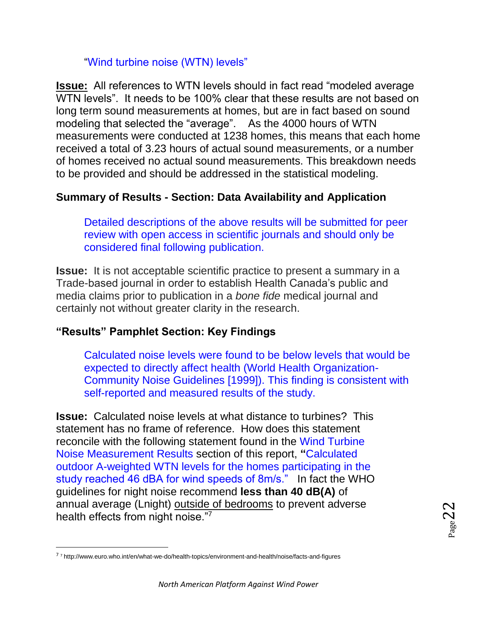#### "Wind turbine noise (WTN) levels"

**Issue:** All references to WTN levels should in fact read "modeled average WTN levels". It needs to be 100% clear that these results are not based on long term sound measurements at homes, but are in fact based on sound modeling that selected the "average". As the 4000 hours of WTN measurements were conducted at 1238 homes, this means that each home received a total of 3.23 hours of actual sound measurements, or a number of homes received no actual sound measurements. This breakdown needs to be provided and should be addressed in the statistical modeling.

## **Summary of Results - Section: Data Availability and Application**

Detailed descriptions of the above results will be submitted for peer review with open access in scientific journals and should only be considered final following publication.

**Issue:** It is not acceptable scientific practice to present a summary in a Trade-based journal in order to establish Health Canada's public and media claims prior to publication in a *bone fide* medical journal and certainly not without greater clarity in the research.

## **"Results" Pamphlet Section: Key Findings**

Calculated noise levels were found to be below levels that would be expected to directly affect health (World Health Organization-Community Noise Guidelines [1999]). This finding is consistent with self-reported and measured results of the study.

**Issue:** Calculated noise levels at what distance to turbines? This statement has no frame of reference. How does this statement reconcile with the following statement found in the Wind Turbine Noise Measurement Results section of this report, **"**Calculated outdoor A-weighted WTN levels for the homes participating in the study reached 46 dBA for wind speeds of 8m/s." In fact the WHO guidelines for night noise recommend **less than 40 dB(A)** of annual average (Lnight) outside of bedrooms to prevent adverse health effects from night noise."7

 $\overline{\phantom{a}}$ 

<sup>7</sup> <sup>7</sup> http://www.euro.who.int/en/what-we-do/health-topics/environment-and-health/noise/facts-and-figures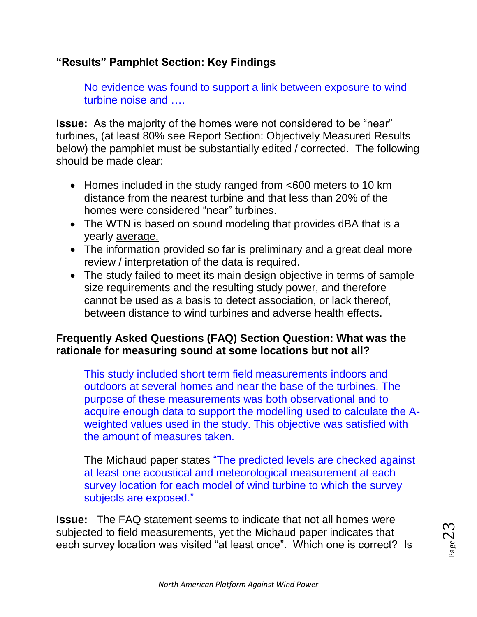## **"Results" Pamphlet Section: Key Findings**

No evidence was found to support a link between exposure to wind turbine noise and ….

**Issue:** As the majority of the homes were not considered to be "near" turbines, (at least 80% see Report Section: Objectively Measured Results below) the pamphlet must be substantially edited / corrected. The following should be made clear:

- Homes included in the study ranged from <600 meters to 10 km distance from the nearest turbine and that less than 20% of the homes were considered "near" turbines.
- The WTN is based on sound modeling that provides dBA that is a yearly average.
- The information provided so far is preliminary and a great deal more review / interpretation of the data is required.
- The study failed to meet its main design objective in terms of sample size requirements and the resulting study power, and therefore cannot be used as a basis to detect association, or lack thereof, between distance to wind turbines and adverse health effects.

## **Frequently Asked Questions (FAQ) Section Question: What was the rationale for measuring sound at some locations but not all?**

This study included short term field measurements indoors and outdoors at several homes and near the base of the turbines. The purpose of these measurements was both observational and to acquire enough data to support the modelling used to calculate the Aweighted values used in the study. This objective was satisfied with the amount of measures taken.

The Michaud paper states "The predicted levels are checked against at least one acoustical and meteorological measurement at each survey location for each model of wind turbine to which the survey subjects are exposed."

**Issue:** The FAQ statement seems to indicate that not all homes were subjected to field measurements, yet the Michaud paper indicates that each survey location was visited "at least once". Which one is correct? Is